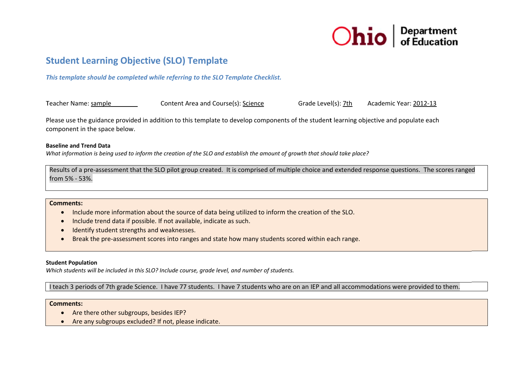

# **S Student Lea arning Objec ctive (SLO) T Template**

*T This template sho ould be complete ed while referring g to the SLO Tem mplate Checklist.*

Teacher Name: sample Content Area and Course(s): <u>Science</u> Grade Level(s): <u>7th</u> Aca ademic Year: 2012-13

Please use the guidance provided in addition to this template to develop components of the student learning objective and populate each component in the space below.

## **BBaseline and Trend d Data**

What information is being used to inform the creation of the SLO and establish the amount of growth that should take place?

Results of a pre-assessment that the SLO pilot group created. It is comprised of multiple choice and extended response questions. The scores ranged from 5% ‐ 53%.

## **Comments:**

- Include more information about the source of data being utilized to inform the creation of the SLO.
- Include trend data if possible. If not available, indicate as such.
- Identify student strengths and weaknesses.
- $\bullet$ • Break the pre-assessment scores into ranges and state how many students scored within each range.

#### **S Student Population n**

Which students will be included in this SLO? Include course, grade level, and number of students.

II teach 3 periods of 7th grade Science. I have 77 students. I have 7 students who are on an IEP and all accommodations were provided to them.

#### **Comments:**

- Are there other subgroups, besides IEP?
- Are any subgroups excluded? If not, please indicate.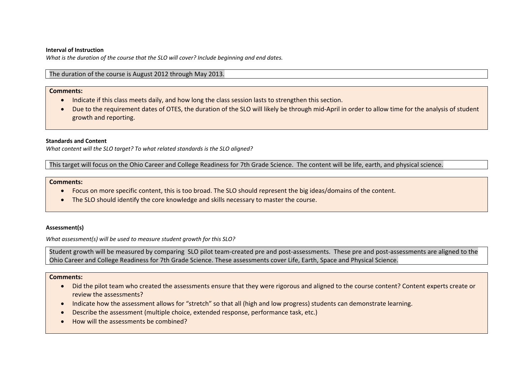#### **Interval of Instruction**

*What is the duration of the course that the SLO will cover? Include beginning and end dates.*

# The duration of the course is August 2012 through May 2013.

# **Comments:**

- Indicate if this class meets daily, and how long the class session lasts to strengthen this section.
- Due to the requirement dates of OTES, the duration of the SLO will likely be through mid-April in order to allow time for the analysis of student growth and reporting.

## **Standards and Content**

*What content will the SLO target? To what related standards is the SLO aligned?*

This target will focus on the Ohio Career and College Readiness for 7th Grade Science. The content will be life, earth, and physical science.

#### **Comments:**

- Focus on more specific content, this is too broad. The SLO should represent the big ideas/domains of the content.
- The SLO should identify the core knowledge and skills necessary to master the course.

## **Assessment(s)**

*What assessment(s) will be used to measure student growth for this SLO?*

Student growth will be measured by comparing SLO pilot team‐created pre and post‐assessments. These pre and post‐assessments are aligned to the Ohio Career and College Readiness for 7th Grade Science. These assessments cover Life, Earth, Space and Physical Science.

## **Comments:**

- Did the pilot team who created the assessments ensure that they were rigorous and aligned to the course content? Content experts create or review the assessments?
- Indicate how the assessment allows for "stretch" so that all (high and low progress) students can demonstrate learning.
- Describe the assessment (multiple choice, extended response, performance task, etc.)
- How will the assessments be combined?